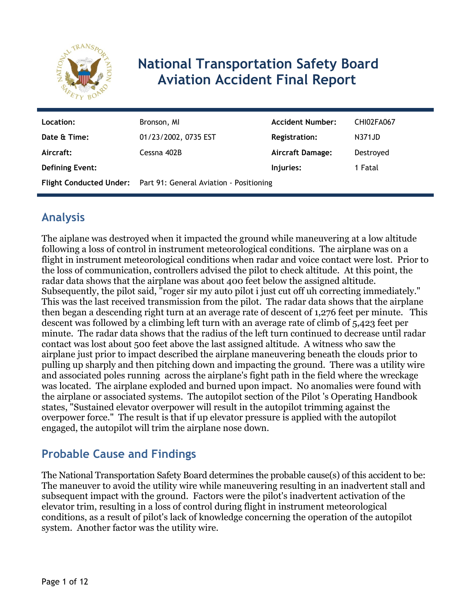

# **National Transportation Safety Board Aviation Accident Final Report**

| Location:              | Bronson, MI                                                     | <b>Accident Number:</b> | CHI02FA067 |
|------------------------|-----------------------------------------------------------------|-------------------------|------------|
| Date & Time:           | 01/23/2002, 0735 EST                                            | <b>Registration:</b>    | N371JD     |
| Aircraft:              | Cessna 402B                                                     | <b>Aircraft Damage:</b> | Destroyed  |
| <b>Defining Event:</b> |                                                                 | Injuries:               | 1 Fatal    |
|                        | Flight Conducted Under: Part 91: General Aviation - Positioning |                         |            |

# **Analysis**

The aiplane was destroyed when it impacted the ground while maneuvering at a low altitude following a loss of control in instrument meteorological conditions. The airplane was on a flight in instrument meteorological conditions when radar and voice contact were lost. Prior to the loss of communication, controllers advised the pilot to check altitude. At this point, the radar data shows that the airplane was about 400 feet below the assigned altitude. Subsequently, the pilot said, "roger sir my auto pilot i just cut off uh correcting immediately." This was the last received transmission from the pilot. The radar data shows that the airplane then began a descending right turn at an average rate of descent of 1,276 feet per minute. This descent was followed by a climbing left turn with an average rate of climb of 5,423 feet per minute. The radar data shows that the radius of the left turn continued to decrease until radar contact was lost about 500 feet above the last assigned altitude. A witness who saw the airplane just prior to impact described the airplane maneuvering beneath the clouds prior to pulling up sharply and then pitching down and impacting the ground. There was a utility wire and associated poles running across the airplane's fight path in the field where the wreckage was located. The airplane exploded and burned upon impact. No anomalies were found with the airplane or associated systems. The autopilot section of the Pilot 's Operating Handbook states, "Sustained elevator overpower will result in the autopilot trimming against the overpower force." The result is that if up elevator pressure is applied with the autopilot engaged, the autopilot will trim the airplane nose down.

### **Probable Cause and Findings**

The National Transportation Safety Board determines the probable cause(s) of this accident to be: The maneuver to avoid the utility wire while maneuvering resulting in an inadvertent stall and subsequent impact with the ground. Factors were the pilot's inadvertent activation of the elevator trim, resulting in a loss of control during flight in instrument meteorological conditions, as a result of pilot's lack of knowledge concerning the operation of the autopilot system. Another factor was the utility wire.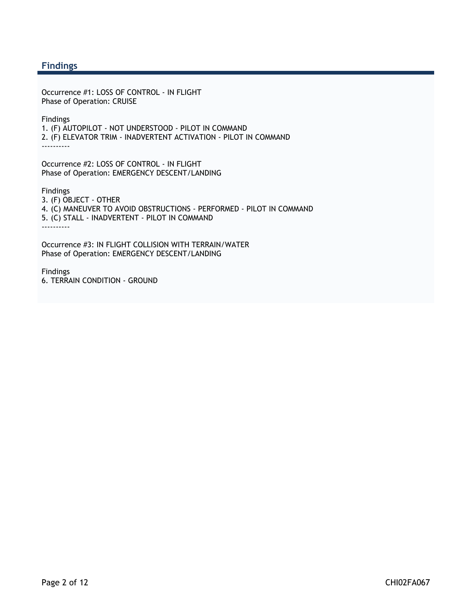#### **Findings**

Occurrence #1: LOSS OF CONTROL - IN FLIGHT Phase of Operation: CRUISE

Findings 1. (F) AUTOPILOT - NOT UNDERSTOOD - PILOT IN COMMAND 2. (F) ELEVATOR TRIM - INADVERTENT ACTIVATION - PILOT IN COMMAND ----------

Occurrence #2: LOSS OF CONTROL - IN FLIGHT Phase of Operation: EMERGENCY DESCENT/LANDING

Findings 3. (F) OBJECT - OTHER 4. (C) MANEUVER TO AVOID OBSTRUCTIONS - PERFORMED - PILOT IN COMMAND 5. (C) STALL - INADVERTENT - PILOT IN COMMAND ----------

Occurrence #3: IN FLIGHT COLLISION WITH TERRAIN/WATER Phase of Operation: EMERGENCY DESCENT/LANDING

Findings 6. TERRAIN CONDITION - GROUND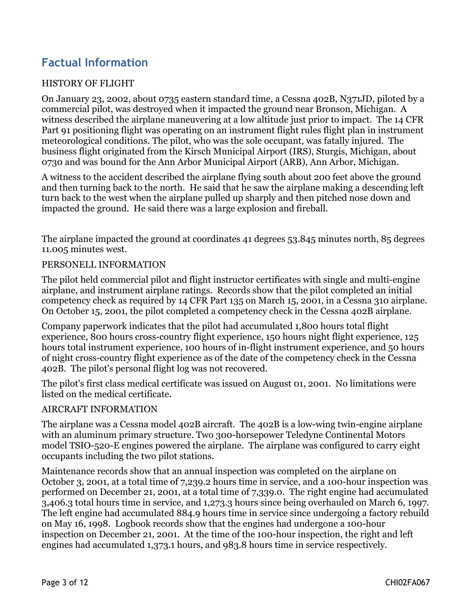## **Factual Information**

#### HISTORY OF FLIGHT

On January 23, 2002, about 0735 eastern standard time, a Cessna 402B, N371JD, piloted by a commercial pilot, was destroyed when it impacted the ground near Bronson, Michigan. A witness described the airplane maneuvering at a low altitude just prior to impact. The 14 CFR Part 91 positioning flight was operating on an instrument flight rules flight plan in instrument meteorological conditions. The pilot, who was the sole occupant, was fatally injured. The business flight originated from the Kirsch Municipal Airport (IRS), Sturgis, Michigan, about 0730 and was bound for the Ann Arbor Municipal Airport (ARB), Ann Arbor, Michigan.

A witness to the accident described the airplane flying south about 200 feet above the ground and then turning back to the north. He said that he saw the airplane making a descending left turn back to the west when the airplane pulled up sharply and then pitched nose down and impacted the ground. He said there was a large explosion and fireball.

The airplane impacted the ground at coordinates 41 degrees 53.845 minutes north, 85 degrees 11.005 minutes west.

#### PERSONELL INFORMATION

The pilot held commercial pilot and flight instructor certificates with single and multi-engine airplane, and instrument airplane ratings. Records show that the pilot completed an initial competency check as required by 14 CFR Part 135 on March 15, 2001, in a Cessna 310 airplane. On October 15, 2001, the pilot completed a competency check in the Cessna 402B airplane.

Company paperwork indicates that the pilot had accumulated 1,800 hours total flight experience, 800 hours cross-country flight experience, 150 hours night flight experience, 125 hours total instrument experience, 100 hours of in-flight instrument experience, and 50 hours of night cross-country flight experience as of the date of the competency check in the Cessna 402B. The pilot's personal flight log was not recovered.

The pilot's first class medical certificate was issued on August 01, 2001. No limitations were listed on the medical certificate.

#### AIRCRAFT INFORMATION

The airplane was a Cessna model 402B aircraft. The 402B is a low-wing twin-engine airplane with an aluminum primary structure. Two 300-horsepower Teledyne Continental Motors model TSIO-520-E engines powered the airplane. The airplane was configured to carry eight occupants including the two pilot stations.

Maintenance records show that an annual inspection was completed on the airplane on October 3, 2001, at a total time of 7,239.2 hours time in service, and a 100-hour inspection was performed on December 21, 2001, at a total time of 7,339.0. The right engine had accumulated 3,406.3 total hours time in service, and 1,273.3 hours since being overhauled on March 6, 1997. The left engine had accumulated 884.9 hours time in service since undergoing a factory rebuild on May 16, 1998. Logbook records show that the engines had undergone a 100-hour inspection on December 21, 2001. At the time of the 100-hour inspection, the right and left engines had accumulated 1,373.1 hours, and 983.8 hours time in service respectively.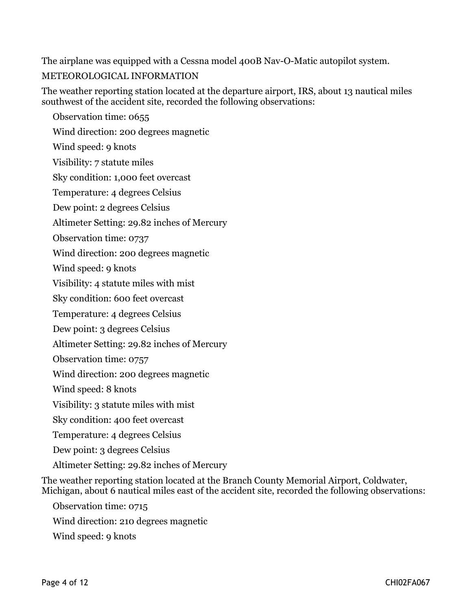The airplane was equipped with a Cessna model 400B Nav-O-Matic autopilot system. METEOROLOGICAL INFORMATION

The weather reporting station located at the departure airport, IRS, about 13 nautical miles southwest of the accident site, recorded the following observations:

 Observation time: 0655 Wind direction: 200 degrees magnetic Wind speed: 9 knots Visibility: 7 statute miles Sky condition: 1,000 feet overcast Temperature: 4 degrees Celsius Dew point: 2 degrees Celsius Altimeter Setting: 29.82 inches of Mercury Observation time: 0737 Wind direction: 200 degrees magnetic Wind speed: 9 knots Visibility: 4 statute miles with mist Sky condition: 600 feet overcast Temperature: 4 degrees Celsius Dew point: 3 degrees Celsius Altimeter Setting: 29.82 inches of Mercury Observation time: 0757 Wind direction: 200 degrees magnetic Wind speed: 8 knots Visibility: 3 statute miles with mist Sky condition: 400 feet overcast Temperature: 4 degrees Celsius Dew point: 3 degrees Celsius Altimeter Setting: 29.82 inches of Mercury

The weather reporting station located at the Branch County Memorial Airport, Coldwater, Michigan, about 6 nautical miles east of the accident site, recorded the following observations:

 Observation time: 0715 Wind direction: 210 degrees magnetic Wind speed: 9 knots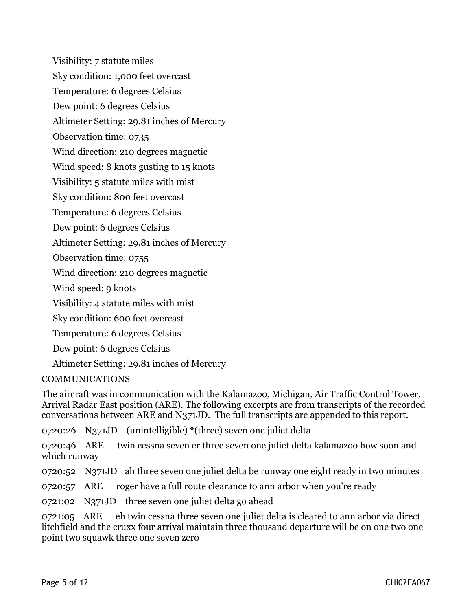Visibility: 7 statute miles Sky condition: 1,000 feet overcast Temperature: 6 degrees Celsius Dew point: 6 degrees Celsius Altimeter Setting: 29.81 inches of Mercury Observation time: 0735 Wind direction: 210 degrees magnetic Wind speed: 8 knots gusting to 15 knots Visibility: 5 statute miles with mist Sky condition: 800 feet overcast Temperature: 6 degrees Celsius Dew point: 6 degrees Celsius Altimeter Setting: 29.81 inches of Mercury Observation time: 0755 Wind direction: 210 degrees magnetic Wind speed: 9 knots Visibility: 4 statute miles with mist Sky condition: 600 feet overcast Temperature: 6 degrees Celsius Dew point: 6 degrees Celsius Altimeter Setting: 29.81 inches of Mercury

#### COMMUNICATIONS

The aircraft was in communication with the Kalamazoo, Michigan, Air Traffic Control Tower, Arrival Radar East position (ARE). The following excerpts are from transcripts of the recorded conversations between ARE and N371JD. The full transcripts are appended to this report.

0720:26 N371JD (unintelligible) \*(three) seven one juliet delta

0720:46 ARE twin cessna seven er three seven one juliet delta kalamazoo how soon and which runway

0720:52 N371JD ah three seven one juliet delta be runway one eight ready in two minutes

0720:57 ARE roger have a full route clearance to ann arbor when you're ready

0721:02 N371JD three seven one juliet delta go ahead

0721:05 ARE eh twin cessna three seven one juliet delta is cleared to ann arbor via direct litchfield and the cruxx four arrival maintain three thousand departure will be on one two one point two squawk three one seven zero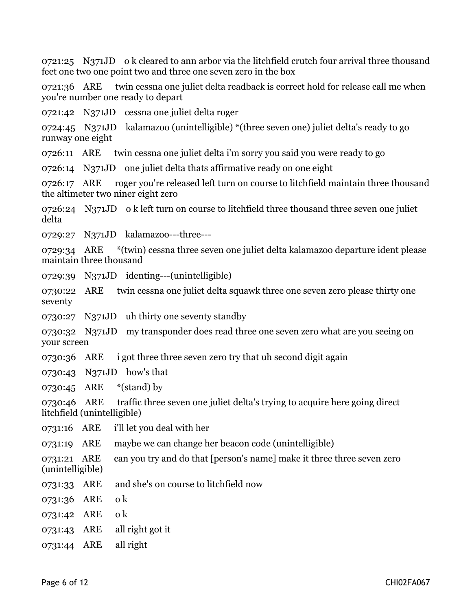0721:25 N371JD o k cleared to ann arbor via the litchfield crutch four arrival three thousand feet one two one point two and three one seven zero in the box

0721:36 ARE twin cessna one juliet delta readback is correct hold for release call me when you're number one ready to depart

0721:42 N371JD cessna one juliet delta roger

0724:45 N371JD kalamazoo (unintelligible) \*(three seven one) juliet delta's ready to go runway one eight

0726:11 ARE twin cessna one juliet delta i'm sorry you said you were ready to go

0726:14 N371JD one juliet delta thats affirmative ready on one eight

0726:17 ARE roger you're released left turn on course to litchfield maintain three thousand the altimeter two niner eight zero

0726:24 N371JD o k left turn on course to litchfield three thousand three seven one juliet delta

0729:27 N371JD kalamazoo---three---

0729:34 ARE \*(twin) cessna three seven one juliet delta kalamazoo departure ident please maintain three thousand

0729:39 N371JD identing---(unintelligible)

0730:22 ARE twin cessna one juliet delta squawk three one seven zero please thirty one seventy

0730:27 N371JD uh thirty one seventy standby

0730:32 N371JD my transponder does read three one seven zero what are you seeing on your screen

0730:36 ARE i got three three seven zero try that uh second digit again

0730:43 N371JD how's that

0730:45 ARE \*(stand) by

0730:46 ARE traffic three seven one juliet delta's trying to acquire here going direct litchfield (unintelligible)

0731:16 ARE i'll let you deal with her

0731:19 ARE maybe we can change her beacon code (unintelligible)

0731:21 ARE can you try and do that [person's name] make it three three seven zero (unintelligible)

- 0731:33 ARE and she's on course to litchfield now
- 0731:36 ARE o k
- 0731:42 ARE o k
- 0731:43 ARE all right got it
- 0731:44 ARE all right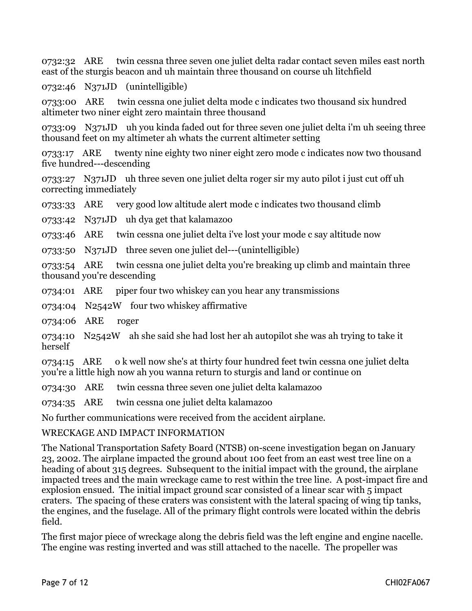0732:32 ARE twin cessna three seven one juliet delta radar contact seven miles east north east of the sturgis beacon and uh maintain three thousand on course uh litchfield

0732:46 N371JD (unintelligible)

0733:00 ARE twin cessna one juliet delta mode c indicates two thousand six hundred altimeter two niner eight zero maintain three thousand

0733:09 N371JD uh you kinda faded out for three seven one juliet delta i'm uh seeing three thousand feet on my altimeter ah whats the current altimeter setting

0733:17 ARE twenty nine eighty two niner eight zero mode c indicates now two thousand five hundred---descending

0733:27 N371JD uh three seven one juliet delta roger sir my auto pilot i just cut off uh correcting immediately

0733:33 ARE very good low altitude alert mode c indicates two thousand climb

0733:42 N371JD uh dya get that kalamazoo

0733:46 ARE twin cessna one juliet delta i've lost your mode c say altitude now

0733:50 N371JD three seven one juliet del---(unintelligible)

0733:54 ARE twin cessna one juliet delta you're breaking up climb and maintain three thousand you're descending

0734:01 ARE piper four two whiskey can you hear any transmissions

0734:04 N2542W four two whiskey affirmative

0734:06 ARE roger

0734:10 N2542W ah she said she had lost her ah autopilot she was ah trying to take it herself

0734:15 ARE o k well now she's at thirty four hundred feet twin cessna one juliet delta you're a little high now ah you wanna return to sturgis and land or continue on

0734:30 ARE twin cessna three seven one juliet delta kalamazoo

0734:35 ARE twin cessna one juliet delta kalamazoo

No further communications were received from the accident airplane.

#### WRECKAGE AND IMPACT INFORMATION

The National Transportation Safety Board (NTSB) on-scene investigation began on January 23, 2002. The airplane impacted the ground about 100 feet from an east west tree line on a heading of about 315 degrees. Subsequent to the initial impact with the ground, the airplane impacted trees and the main wreckage came to rest within the tree line. A post-impact fire and explosion ensued. The initial impact ground scar consisted of a linear scar with 5 impact craters. The spacing of these craters was consistent with the lateral spacing of wing tip tanks, the engines, and the fuselage. All of the primary flight controls were located within the debris field.

The first major piece of wreckage along the debris field was the left engine and engine nacelle. The engine was resting inverted and was still attached to the nacelle. The propeller was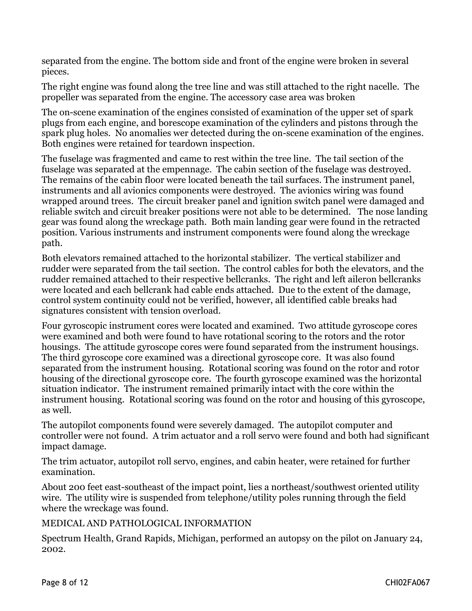separated from the engine. The bottom side and front of the engine were broken in several pieces.

The right engine was found along the tree line and was still attached to the right nacelle. The propeller was separated from the engine. The accessory case area was broken

The on-scene examination of the engines consisted of examination of the upper set of spark plugs from each engine, and borescope examination of the cylinders and pistons through the spark plug holes. No anomalies wer detected during the on-scene examination of the engines. Both engines were retained for teardown inspection.

The fuselage was fragmented and came to rest within the tree line. The tail section of the fuselage was separated at the empennage. The cabin section of the fuselage was destroyed. The remains of the cabin floor were located beneath the tail surfaces. The instrument panel, instruments and all avionics components were destroyed. The avionics wiring was found wrapped around trees. The circuit breaker panel and ignition switch panel were damaged and reliable switch and circuit breaker positions were not able to be determined. The nose landing gear was found along the wreckage path. Both main landing gear were found in the retracted position. Various instruments and instrument components were found along the wreckage path.

Both elevators remained attached to the horizontal stabilizer. The vertical stabilizer and rudder were separated from the tail section. The control cables for both the elevators, and the rudder remained attached to their respective bellcranks. The right and left aileron bellcranks were located and each bellcrank had cable ends attached. Due to the extent of the damage, control system continuity could not be verified, however, all identified cable breaks had signatures consistent with tension overload.

Four gyroscopic instrument cores were located and examined. Two attitude gyroscope cores were examined and both were found to have rotational scoring to the rotors and the rotor housings. The attitude gyroscope cores were found separated from the instrument housings. The third gyroscope core examined was a directional gyroscope core. It was also found separated from the instrument housing. Rotational scoring was found on the rotor and rotor housing of the directional gyroscope core. The fourth gyroscope examined was the horizontal situation indicator. The instrument remained primarily intact with the core within the instrument housing. Rotational scoring was found on the rotor and housing of this gyroscope, as well.

The autopilot components found were severely damaged. The autopilot computer and controller were not found. A trim actuator and a roll servo were found and both had significant impact damage.

The trim actuator, autopilot roll servo, engines, and cabin heater, were retained for further examination.

About 200 feet east-southeast of the impact point, lies a northeast/southwest oriented utility wire. The utility wire is suspended from telephone/utility poles running through the field where the wreckage was found.

#### MEDICAL AND PATHOLOGICAL INFORMATION

Spectrum Health, Grand Rapids, Michigan, performed an autopsy on the pilot on January 24, 2002.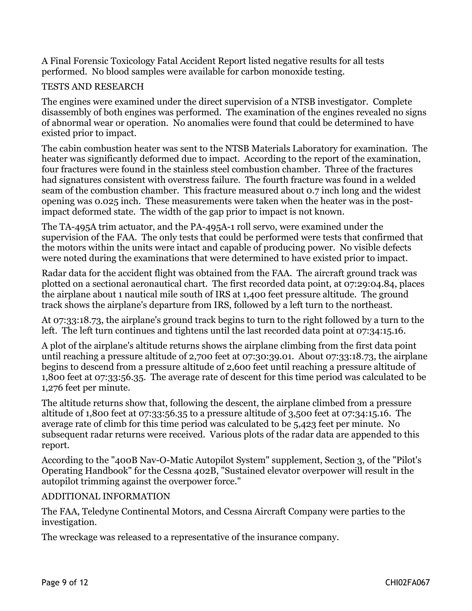A Final Forensic Toxicology Fatal Accident Report listed negative results for all tests performed. No blood samples were available for carbon monoxide testing.

#### TESTS AND RESEARCH

The engines were examined under the direct supervision of a NTSB investigator. Complete disassembly of both engines was performed. The examination of the engines revealed no signs of abnormal wear or operation. No anomalies were found that could be determined to have existed prior to impact.

The cabin combustion heater was sent to the NTSB Materials Laboratory for examination. The heater was significantly deformed due to impact. According to the report of the examination, four fractures were found in the stainless steel combustion chamber. Three of the fractures had signatures consistent with overstress failure. The fourth fracture was found in a welded seam of the combustion chamber. This fracture measured about 0.7 inch long and the widest opening was 0.025 inch. These measurements were taken when the heater was in the postimpact deformed state. The width of the gap prior to impact is not known.

The TA-495A trim actuator, and the PA-495A-1 roll servo, were examined under the supervision of the FAA. The only tests that could be performed were tests that confirmed that the motors within the units were intact and capable of producing power. No visible defects were noted during the examinations that were determined to have existed prior to impact.

Radar data for the accident flight was obtained from the FAA. The aircraft ground track was plotted on a sectional aeronautical chart. The first recorded data point, at 07:29:04.84, places the airplane about 1 nautical mile south of IRS at 1,400 feet pressure altitude. The ground track shows the airplane's departure from IRS, followed by a left turn to the northeast.

At 07:33:18.73, the airplane's ground track begins to turn to the right followed by a turn to the left. The left turn continues and tightens until the last recorded data point at 07:34:15.16.

A plot of the airplane's altitude returns shows the airplane climbing from the first data point until reaching a pressure altitude of 2,700 feet at 07:30:39.01. About 07:33:18.73, the airplane begins to descend from a pressure altitude of 2,600 feet until reaching a pressure altitude of 1,800 feet at 07:33:56.35. The average rate of descent for this time period was calculated to be 1,276 feet per minute.

The altitude returns show that, following the descent, the airplane climbed from a pressure altitude of 1,800 feet at 07:33:56.35 to a pressure altitude of 3,500 feet at 07:34:15.16. The average rate of climb for this time period was calculated to be 5,423 feet per minute. No subsequent radar returns were received. Various plots of the radar data are appended to this report.

According to the "400B Nav-O-Matic Autopilot System" supplement, Section 3, of the "Pilot's Operating Handbook" for the Cessna 402B, "Sustained elevator overpower will result in the autopilot trimming against the overpower force."

#### ADDITIONAL INFORMATION

The FAA, Teledyne Continental Motors, and Cessna Aircraft Company were parties to the investigation.

The wreckage was released to a representative of the insurance company.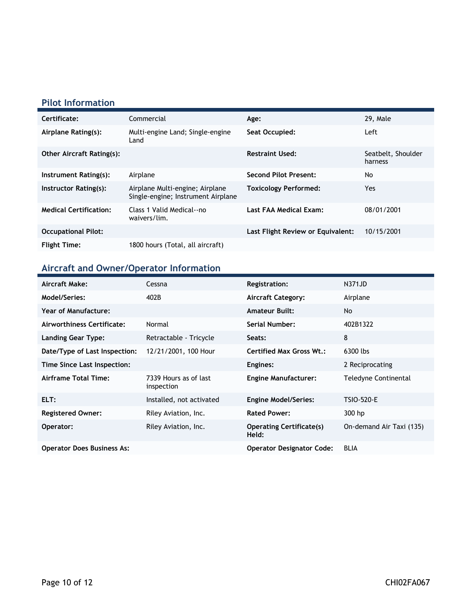### **Pilot Information**

| Certificate:                     | Commercial                                                            | Age:                              | 29, Male                      |
|----------------------------------|-----------------------------------------------------------------------|-----------------------------------|-------------------------------|
| Airplane Rating(s):              | Multi-engine Land; Single-engine<br>Land                              | Seat Occupied:                    | Left                          |
| <b>Other Aircraft Rating(s):</b> |                                                                       | <b>Restraint Used:</b>            | Seatbelt, Shoulder<br>harness |
| Instrument Rating(s):            | Airplane                                                              | <b>Second Pilot Present:</b>      | No                            |
| Instructor Rating(s):            | Airplane Multi-engine; Airplane<br>Single-engine; Instrument Airplane | <b>Toxicology Performed:</b>      | Yes.                          |
| <b>Medical Certification:</b>    | Class 1 Valid Medical--no<br>waivers/lim.                             | Last FAA Medical Exam:            | 08/01/2001                    |
| <b>Occupational Pilot:</b>       |                                                                       | Last Flight Review or Equivalent: | 10/15/2001                    |
| <b>Flight Time:</b>              | 1800 hours (Total, all aircraft)                                      |                                   |                               |

### **Aircraft and Owner/Operator Information**

| Aircraft Make:                    | Cessna                              | <b>Registration:</b>                     | N371JD                   |
|-----------------------------------|-------------------------------------|------------------------------------------|--------------------------|
| Model/Series:                     | 402B                                | <b>Aircraft Category:</b>                | Airplane                 |
| <b>Year of Manufacture:</b>       |                                     | <b>Amateur Built:</b>                    | No                       |
| Airworthiness Certificate:        | Normal                              | Serial Number:                           | 402B1322                 |
| <b>Landing Gear Type:</b>         | Retractable - Tricycle              | Seats:                                   | 8                        |
| Date/Type of Last Inspection:     | 12/21/2001, 100 Hour                | <b>Certified Max Gross Wt.:</b>          | 6300 lbs                 |
| Time Since Last Inspection:       |                                     | Engines:                                 | 2 Reciprocating          |
| Airframe Total Time:              | 7339 Hours as of last<br>inspection | <b>Engine Manufacturer:</b>              | Teledyne Continental     |
| ELT:                              | Installed, not activated            | <b>Engine Model/Series:</b>              | <b>TSIO-520-E</b>        |
| <b>Registered Owner:</b>          | Riley Aviation, Inc.                | <b>Rated Power:</b>                      | 300 hp                   |
| Operator:                         | Riley Aviation, Inc.                | <b>Operating Certificate(s)</b><br>Held: | On-demand Air Taxi (135) |
| <b>Operator Does Business As:</b> |                                     | <b>Operator Designator Code:</b>         | <b>BLIA</b>              |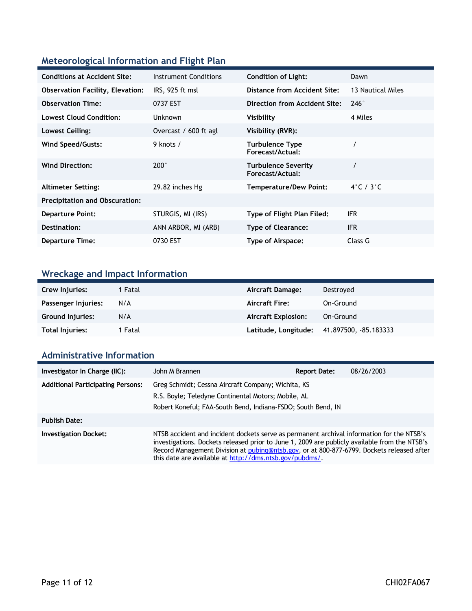### **Meteorological Information and Flight Plan**

| <b>Conditions at Accident Site:</b>     | Instrument Conditions | <b>Condition of Light:</b>                     | Dawn              |
|-----------------------------------------|-----------------------|------------------------------------------------|-------------------|
| <b>Observation Facility, Elevation:</b> | IRS, 925 ft msl       | Distance from Accident Site:                   | 13 Nautical Miles |
| <b>Observation Time:</b>                | 0737 EST              | Direction from Accident Site:                  | $246^\circ$       |
| <b>Lowest Cloud Condition:</b>          | <b>Unknown</b>        | Visibility                                     | 4 Miles           |
| Lowest Ceiling:                         | Overcast / 600 ft agl | Visibility (RVR):                              |                   |
| Wind Speed/Gusts:                       | 9 knots /             | <b>Turbulence Type</b><br>Forecast/Actual:     |                   |
| <b>Wind Direction:</b>                  | $200^\circ$           | <b>Turbulence Severity</b><br>Forecast/Actual: |                   |
| <b>Altimeter Setting:</b>               | 29.82 inches Hg       | <b>Temperature/Dew Point:</b>                  | 4°C / 3°C         |
| <b>Precipitation and Obscuration:</b>   |                       |                                                |                   |
| <b>Departure Point:</b>                 | STURGIS, MI (IRS)     | Type of Flight Plan Filed:                     | <b>IFR</b>        |
| Destination:                            | ANN ARBOR, MI (ARB)   | <b>Type of Clearance:</b>                      | <b>IFR</b>        |
| <b>Departure Time:</b>                  | 0730 EST              | Type of Airspace:                              | Class G           |

# **Wreckage and Impact Information**

| Crew Injuries:          | 1 Fatal | Aircraft Damage:           | Destroyed            |
|-------------------------|---------|----------------------------|----------------------|
| Passenger Injuries:     | N/A     | <b>Aircraft Fire:</b>      | On-Ground            |
| <b>Ground Injuries:</b> | N/A     | <b>Aircraft Explosion:</b> | On-Ground            |
| <b>Total Injuries:</b>  | 1 Fatal | Latitude, Longitude:       | 41.897500, 85.183333 |

### **Administrative Information**

| Investigator In Charge (IIC):            | John M Brannen                                                                                                                                                            | <b>Report Date:</b>                                                                                                                                                                                                                                                                     | 08/26/2003 |
|------------------------------------------|---------------------------------------------------------------------------------------------------------------------------------------------------------------------------|-----------------------------------------------------------------------------------------------------------------------------------------------------------------------------------------------------------------------------------------------------------------------------------------|------------|
| <b>Additional Participating Persons:</b> | Greg Schmidt; Cessna Aircraft Company; Wichita, KS<br>R.S. Boyle; Teledyne Continental Motors; Mobile, AL<br>Robert Koneful; FAA-South Bend, Indiana-FSDO; South Bend, IN |                                                                                                                                                                                                                                                                                         |            |
| <b>Publish Date:</b>                     |                                                                                                                                                                           |                                                                                                                                                                                                                                                                                         |            |
| <b>Investigation Docket:</b>             | this date are available at http://dms.ntsb.gov/pubdms/.                                                                                                                   | NTSB accident and incident dockets serve as permanent archival information for the NTSB's<br>investigations. Dockets released prior to June 1, 2009 are publicly available from the NTSB's<br>Record Management Division at pubing@ntsb.gov, or at 800-877-6799. Dockets released after |            |